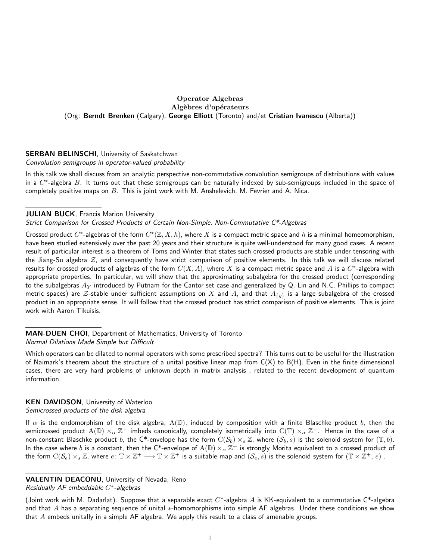## Operator Algebras Algèbres d'opérateurs (Org: Berndt Brenken (Calgary), George Elliott (Toronto) and/et Cristian Ivanescu (Alberta))

# **SERBAN BELINSCHI**, University of Saskatchwan

Convolution semigroups in operator-valued probability

In this talk we shall discuss from an analytic perspective non-commutative convolution semigroups of distributions with values in a  $C^*$ -algebra  $B$ . It turns out that these semigroups can be naturally indexed by sub-semigroups included in the space of completely positive maps on  $B$ . This is joint work with M. Anshelevich, M. Fevrier and A. Nica.

# **JULIAN BUCK, Francis Marion University**

Strict Comparison for Crossed Products of Certain Non-Simple, Non-Commutative C\*-Algebras

Crossed product  $C^*$ -algebras of the form  $C^*(\mathbb{Z},X,h)$ , where  $X$  is a compact metric space and  $h$  is a minimal homeomorphism, have been studied extensively over the past 20 years and their structure is quite well-understood for many good cases. A recent result of particular interest is a theorem of Toms and Winter that states such crossed products are stable under tensoring with the Jiang-Su algebra  $Z$ , and consequently have strict comparison of positive elements. In this talk we will discuss related results for crossed products of algebras of the form  $C(X, A)$ , where X is a compact metric space and A is a  $C^*$ -algebra with appropriate properties. In particular, we will show that the approximating subalgebra for the crossed product (corresponding to the subalgebras  $A_Y$  introduced by Putnam for the Cantor set case and generalized by Q. Lin and N.C. Phillips to compact metric spaces) are Z-stable under sufficient assumptions on X and A, and that  $A_{\{y\}}$  is a large subalgebra of the crossed product in an appropriate sense. It will follow that the crossed product has strict comparison of positive elements. This is joint work with Aaron Tikuisis.

MAN-DUEN CHOI, Department of Mathematics, University of Toronto Normal Dilations Made Simple but Difficult

Which operators can be dilated to normal operators with some prescribed spectra? This turns out to be useful for the illustration of Naimark's theorem about the structure of a unital positive linear map from  $C(X)$  to  $B(H)$ . Even in the finite dimensional cases, there are very hard problems of unknown depth in matrix analysis , related to the recent development of quantum information.

# KEN DAVIDSON, University of Waterloo

## Semicrossed products of the disk algebra

If  $\alpha$  is the endomorphism of the disk algebra,  $A(D)$ , induced by composition with a finite Blaschke product b, then the semicrossed product  $\rm A(\mathbb D)\times_\alpha\mathbb Z^+$  imbeds canonically, completely isometrically into  $\rm C(\mathbb T)\times_\alpha\mathbb Z^+$ . Hence in the case of a non-constant Blaschke product b, the C\*-envelope has the form  $C(S_b) \times_s \mathbb{Z}$ , where  $(S_b, s)$  is the solenoid system for  $(\mathbb{T}, b)$ . In the case where  $b$  is a constant, then the C\*-envelope of  $\rm A(\mathbb D)\times_\alpha\mathbb Z^+$  is strongly Morita equivalent to a crossed product of the form  $\mathrm{C}(\mathcal{S}_e)\times_s \mathbb{Z}$ , where  $e\colon \mathbb{T}\times \mathbb{Z}^+\longrightarrow \mathbb{T}\times \mathbb{Z}^+$  is a suitable map and  $(\mathcal{S}_e,s)$  is the solenoid system for  $(\mathbb{T}\times \mathbb{Z}^+, \, e)$  .

# VALENTIN DEACONU, University of Nevada, Reno

Residually  $AF$  embeddable  $C^*$ -algebras

(Joint work with M. Dadarlat). Suppose that a separable exact  $C^*$ -algebra A is KK-equivalent to a commutative  $C^*$ -algebra and that  $A$  has a separating sequence of unital  $*$ -homomorphisms into simple AF algebras. Under these conditions we show that  $A$  embeds unitally in a simple AF algebra. We apply this result to a class of amenable groups.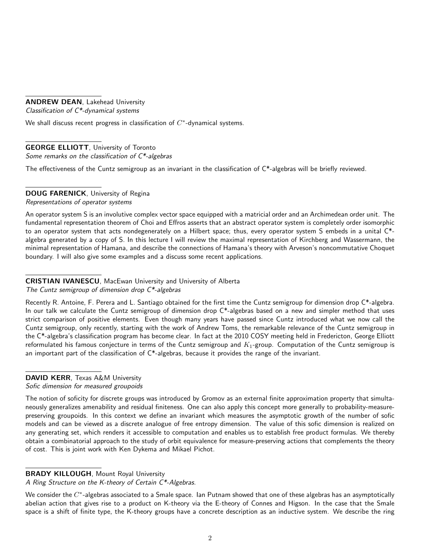## ANDREW DEAN, Lakehead University

Classification of  $C^*$ -dynamical systems

We shall discuss recent progress in classification of  $C^*$ -dynamical systems.

# GEORGE ELLIOTT, University of Toronto

Some remarks on the classification of C\*-algebras

The effectiveness of the Cuntz semigroup as an invariant in the classification of C\*-algebras will be briefly reviewed.

# DOUG FARENICK, University of Regina

Representations of operator systems

An operator system S is an involutive complex vector space equipped with a matricial order and an Archimedean order unit. The fundamental representation theorem of Choi and Effros asserts that an abstract operator system is completely order isomorphic to an operator system that acts nondegenerately on a Hilbert space; thus, every operator system S embeds in a unital C\* algebra generated by a copy of S. In this lecture I will review the maximal representation of Kirchberg and Wassermann, the minimal representation of Hamana, and describe the connections of Hamana's theory with Arveson's noncommutative Choquet boundary. I will also give some examples and a discuss some recent applications.

# CRISTIAN IVANESCU, MacEwan University and University of Alberta

The Cuntz semigroup of dimension drop  $C^*$ -algebras

Recently R. Antoine, F. Perera and L. Santiago obtained for the first time the Cuntz semigroup for dimension drop C\*-algebra. In our talk we calculate the Cuntz semigroup of dimension drop  $C^*$ -algebras based on a new and simpler method that uses strict comparison of positive elements. Even though many years have passed since Cuntz introduced what we now call the Cuntz semigroup, only recently, starting with the work of Andrew Toms, the remarkable relevance of the Cuntz semigroup in the C\*-algebra's classification program has become clear. In fact at the 2010 COSY meeting held in Fredericton, George Elliott reformulated his famous conjecture in terms of the Cuntz semigroup and  $K_1$ -group. Computation of the Cuntz semigroup is an important part of the classification of C\*-algebras, because it provides the range of the invariant.

# DAVID KERR, Texas A&M University

Sofic dimension for measured groupoids

The notion of soficity for discrete groups was introduced by Gromov as an external finite approximation property that simultaneously generalizes amenability and residual finiteness. One can also apply this concept more generally to probability-measurepreserving groupoids. In this context we define an invariant which measures the asymptotic growth of the number of sofic models and can be viewed as a discrete analogue of free entropy dimension. The value of this sofic dimension is realized on any generating set, which renders it accessible to computation and enables us to establish free product formulas. We thereby obtain a combinatorial approach to the study of orbit equivalence for measure-preserving actions that complements the theory of cost. This is joint work with Ken Dykema and Mikael Pichot.

# **BRADY KILLOUGH, Mount Royal University**

A Ring Structure on the K-theory of Certain C\*-Algebras.

We consider the  $C^*$ -algebras associated to a Smale space. Ian Putnam showed that one of these algebras has an asymptotically abelian action that gives rise to a product on K-theory via the E-theory of Connes and Higson. In the case that the Smale space is a shift of finite type, the K-theory groups have a concrete description as an inductive system. We describe the ring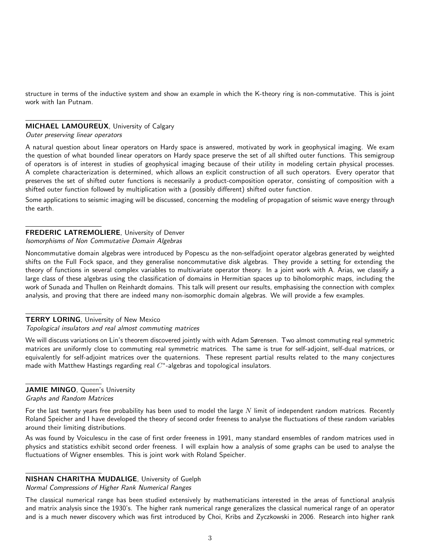structure in terms of the inductive system and show an example in which the K-theory ring is non-commutative. This is joint work with Ian Putnam.

#### MICHAEL LAMOUREUX, University of Calgary

Outer preserving linear operators

A natural question about linear operators on Hardy space is answered, motivated by work in geophysical imaging. We exam the question of what bounded linear operators on Hardy space preserve the set of all shifted outer functions. This semigroup of operators is of interest in studies of geophysical imaging because of their utility in modeling certain physical processes. A complete characterization is determined, which allows an explicit construction of all such operators. Every operator that preserves the set of shifted outer functions is necessarily a product-composition operator, consisting of composition with a shifted outer function followed by multiplication with a (possibly different) shifted outer function.

Some applications to seismic imaging will be discussed, concerning the modeling of propagation of seismic wave energy through the earth.

#### FREDERIC LATREMOLIERE, University of Denver

Isomorphisms of Non Commutative Domain Algebras

Noncommutative domain algebras were introduced by Popescu as the non-selfadjoint operator algebras generated by weighted shifts on the Full Fock space, and they generalise noncommutative disk algebras. They provide a setting for extending the theory of functions in several complex variables to multivariate operator theory. In a joint work with A. Arias, we classify a large class of these algebras using the classification of domains in Hermitian spaces up to biholomorphic maps, including the work of Sunada and Thullen on Reinhardt domains. This talk will present our results, emphasising the connection with complex analysis, and proving that there are indeed many non-isomorphic domain algebras. We will provide a few examples.

#### **TERRY LORING**, University of New Mexico

#### Topological insulators and real almost commuting matrices

We will discuss variations on Lin's theorem discovered jointly with with Adam Sørensen. Two almost commuting real symmetric matrices are uniformly close to commuting real symmetric matrices. The same is true for self-adjoint, self-dual matrices, or equivalently for self-adjoint matrices over the quaternions. These represent partial results related to the many conjectures made with Matthew Hastings regarding real  $C^*$ -algebras and topological insulators.

## JAMIE MINGO, Queen's University

Graphs and Random Matrices

For the last twenty years free probability has been used to model the large  $N$  limit of independent random matrices. Recently Roland Speicher and I have developed the theory of second order freeness to analyse the fluctuations of these random variables around their limiting distributions.

As was found by Voiculescu in the case of first order freeness in 1991, many standard ensembles of random matrices used in physics and statistics exhibit second order freeness. I will explain how a analysis of some graphs can be used to analyse the fluctuations of Wigner ensembles. This is joint work with Roland Speicher.

# NISHAN CHARITHA MUDALIGE, University of Guelph

Normal Compressions of Higher Rank Numerical Ranges

The classical numerical range has been studied extensively by mathematicians interested in the areas of functional analysis and matrix analysis since the 1930's. The higher rank numerical range generalizes the classical numerical range of an operator and is a much newer discovery which was first introduced by Choi, Kribs and Zyczkowski in 2006. Research into higher rank